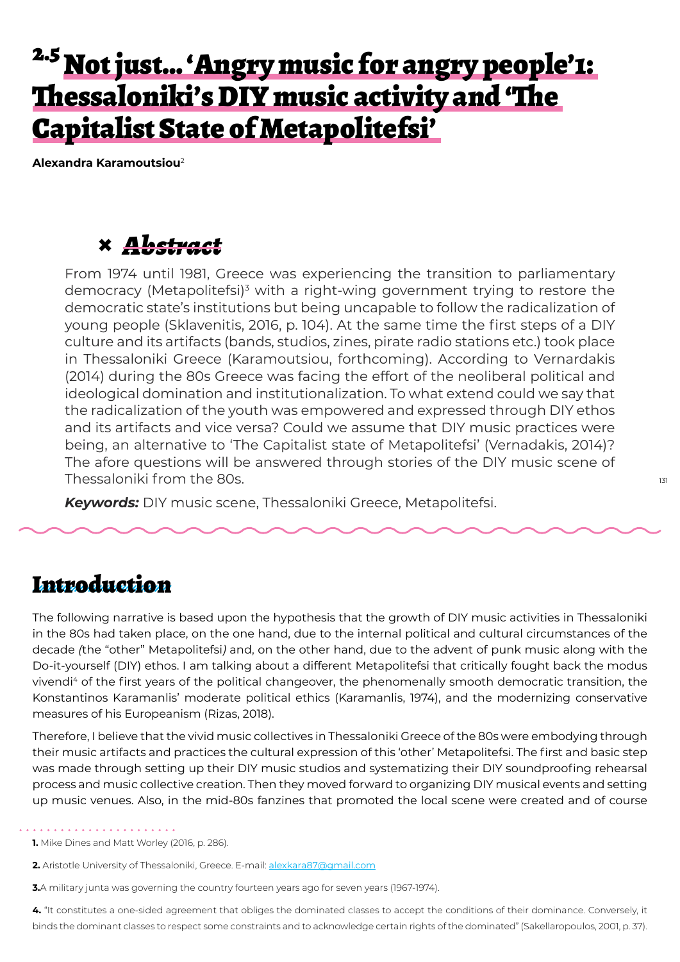# <sup>2.5</sup> Not just... 'Angry music for angry people'1: Thessaloniki's DIY music activity and 'The Capitalist State of Metapolitefsi'

**Alexandra Karamoutsiou**<sup>2</sup>

### **×** *Abstract*

From 1974 until 1981, Greece was experiencing the transition to parliamentary democracy (Metapolitefsi)<sup>3</sup> with a right-wing government trying to restore the democratic state's institutions but being uncapable to follow the radicalization of young people (Sklavenitis, 2016, p. 104). At the same time the first steps of a DIY culture and its artifacts (bands, studios, zines, pirate radio stations etc.) took place in Thessaloniki Greece (Karamoutsiou, forthcoming). According to Vernardakis (2014) during the 80s Greece was facing the effort of the neoliberal political and ideological domination and institutionalization. To what extend could we say that the radicalization of the youth was empowered and expressed through DIY ethos and its artifacts and vice versa? Could we assume that DIY music practices were being, an alternative to 'The Capitalist state of Metapolitefsi' (Vernadakis, 2014)? The afore questions will be answered through stories of the DIY music scene of Thessaloniki from the 80s.

*Keywords:* DIY music scene, Thessaloniki Greece, Metapolitefsi.

### Introduction

The following narrative is based upon the hypothesis that the growth of DIY music activities in Thessaloniki in the 80s had taken place, on the one hand, due to the internal political and cultural circumstances of the decade *(*the "other" Metapolitefsi*)* and, on the other hand, due to the advent of punk music along with the Do-it-yourself (DIY) ethos. I am talking about a different Metapolitefsi that critically fought back the modus vivendi<sup>4</sup> of the first years of the political changeover, the phenomenally smooth democratic transition, the Konstantinos Karamanlis' moderate political ethics (Karamanlis, 1974), and the modernizing conservative measures of his Europeanism (Rizas, 2018).

Therefore, I believe that the vivid music collectives in Thessaloniki Greece of the 80s were embodying through their music artifacts and practices the cultural expression of this 'other' Metapolitefsi. The first and basic step was made through setting up their DIY music studios and systematizing their DIY soundproofing rehearsal process and music collective creation. Then they moved forward to organizing DIY musical events and setting up music venues. Also, in the mid-80s fanzines that promoted the local scene were created and of course

**4.** "It constitutes a one-sided agreement that obliges the dominated classes to accept the conditions of their dominance. Conversely, it binds the dominant classes to respect some constraints and to acknowledge certain rights of the dominated" (Sakellaropoulos, 2001, p. 37).

<sup>. . . . . . . . . . . . . . .</sup> **. 1.** Mike Dines and Matt Worley (2016, p. 286).

<sup>2.</sup> Aristotle University of Thessaloniki, Greece. E-mail: alexkara87@gmail.com

**<sup>3.</sup>**A military junta was governing the country fourteen years ago for seven years (1967-1974).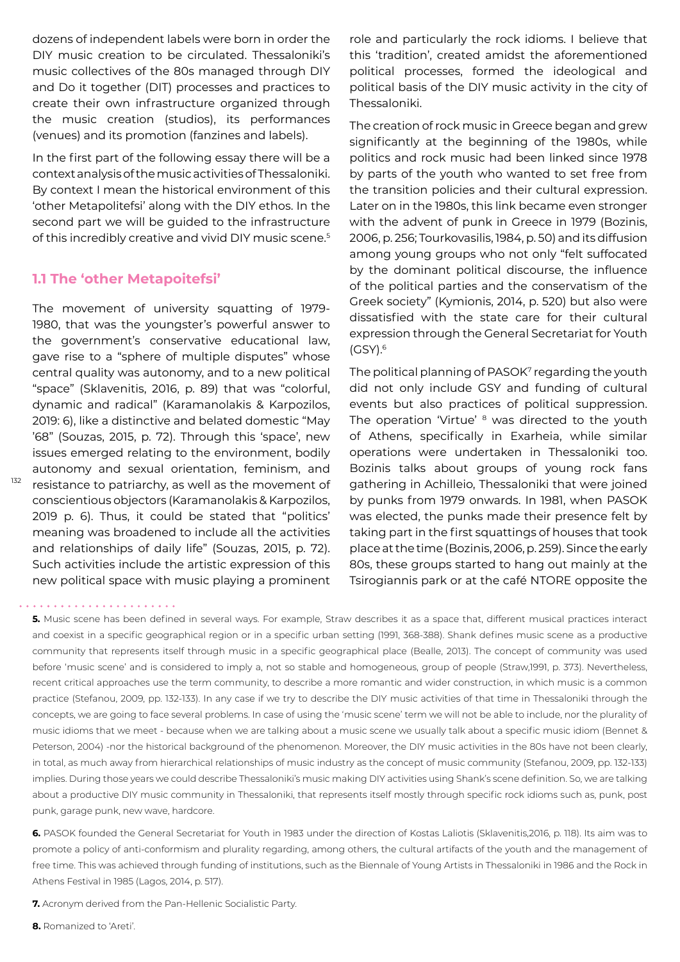dozens of independent labels were born in order the DIY music creation to be circulated. Thessaloniki's music collectives of the 80s managed through DIY and Do it together (DIT) processes and practices to create their own infrastructure organized through the music creation (studios), its performances (venues) and its promotion (fanzines and labels).

In the first part of the following essay there will be a context analysis of the music activities of Thessaloniki. By context I mean the historical environment of this 'other Metapolitefsi' along with the DIY ethos. In the second part we will be guided to the infrastructure of this incredibly creative and vivid DIY music scene.<sup>5</sup>

#### **1.1 The 'other Metapoitefsi'**

132

The movement of university squatting of 1979- 1980, that was the youngster's powerful answer to the government's conservative educational law, gave rise to a "sphere of multiple disputes" whose central quality was autonomy, and to a new political "space" (Sklavenitis, 2016, p. 89) that was "colorful, dynamic and radical" (Karamanolakis & Karpozilos, 2019: 6), like a distinctive and belated domestic "May '68" (Souzas, 2015, p. 72). Through this 'space', new issues emerged relating to the environment, bodily autonomy and sexual orientation, feminism, and resistance to patriarchy, as well as the movement of conscientious objectors (Karamanolakis & Karpozilos, 2019 p. 6). Thus, it could be stated that "politics' meaning was broadened to include all the activities and relationships of daily life" (Souzas, 2015, p. 72). Such activities include the artistic expression of this new political space with music playing a prominent role and particularly the rock idioms. I believe that this 'tradition', created amidst the aforementioned political processes, formed the ideological and political basis of the DIY music activity in the city of Thessaloniki.

The creation of rock music in Greece began and grew significantly at the beginning of the 1980s, while politics and rock music had been linked since 1978 by parts of the youth who wanted to set free from the transition policies and their cultural expression. Later on in the 1980s, this link became even stronger with the advent of punk in Greece in 1979 (Bozinis, 2006, p. 256; Tourkovasilis, 1984, p. 50) and its diffusion among young groups who not only "felt suffocated by the dominant political discourse, the influence of the political parties and the conservatism of the Greek society" (Kymionis, 2014, p. 520) but also were dissatisfied with the state care for their cultural expression through the General Secretariat for Youth  $(GSY).<sup>6</sup>$ 

The political planning of PASOK7 regarding the youth did not only include GSY and funding of cultural events but also practices of political suppression. The operation 'Virtue' <sup>8</sup> was directed to the youth of Athens, specifically in Exarheia, while similar operations were undertaken in Thessaloniki too. Bozinis talks about groups of young rock fans gathering in Achilleio, Thessaloniki that were joined by punks from 1979 onwards. In 1981, when PASOK was elected, the punks made their presence felt by taking part in the first squattings of houses that took place at the time (Bozinis, 2006, p. 259). Since the early 80s, these groups started to hang out mainly at the Tsirogiannis park or at the café NTORE opposite the

- **7.** Acronym derived from the Pan-Hellenic Socialistic Party.
- **8.** Romanized to 'Areti'.

**<sup>5.</sup>** Music scene has been defined in several ways. For example, Straw describes it as a space that, different musical practices interact and coexist in a specific geographical region or in a specific urban setting (1991, 368-388). Shank defines music scene as a productive community that represents itself through music in a specific geographical place (Bealle, 2013). The concept of community was used before 'music scene' and is considered to imply a, not so stable and homogeneous, group of people (Straw,1991, p. 373). Nevertheless, recent critical approaches use the term community, to describe a more romantic and wider construction, in which music is a common practice (Stefanou, 2009, pp. 132-133). In any case if we try to describe the DIY music activities of that time in Thessaloniki through the concepts, we are going to face several problems. In case of using the 'music scene' term we will not be able to include, nor the plurality of music idioms that we meet - because when we are talking about a music scene we usually talk about a specific music idiom (Bennet & Peterson, 2004) -nor the historical background of the phenomenon. Moreover, the DIY music activities in the 80s have not been clearly, in total, as much away from hierarchical relationships of music industry as the concept of music community (Stefanou, 2009, pp. 132-133) implies. During those years we could describe Thessaloniki's music making DIY activities using Shank's scene definition. So, we are talking about a productive DIY music community in Thessaloniki, that represents itself mostly through specific rock idioms such as, punk, post punk, garage punk, new wave, hardcore.

**<sup>6.</sup>** PASOK founded the General Secretariat for Youth in 1983 under the direction of Kostas Laliotis (Sklavenitis,2016, p. 118). Its aim was to promote a policy of anti-conformism and plurality regarding, among others, the cultural artifacts of the youth and the management of free time. This was achieved through funding of institutions, such as the Biennale of Young Artists in Thessaloniki in 1986 and the Rock in Athens Festival in 1985 (Lagos, 2014, p. 517).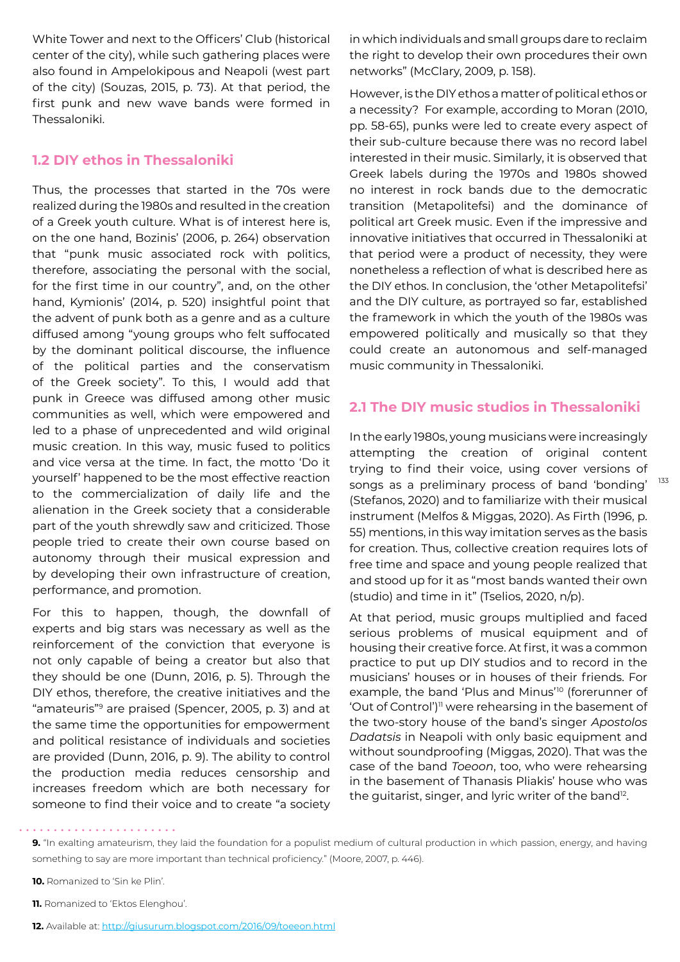White Tower and next to the Officers' Club (historical center of the city), while such gathering places were also found in Ampelokipous and Neapoli (west part of the city) (Souzas, 2015, p. 73). At that period, the first punk and new wave bands were formed in Thessaloniki.

### **1.2 DIY ethos in Thessaloniki**

Thus, the processes that started in the 70s were realized during the 1980s and resulted in the creation of a Greek youth culture. What is of interest here is, on the one hand, Bozinis' (2006, p. 264) observation that "punk music associated rock with politics, therefore, associating the personal with the social, for the first time in our country", and, on the other hand, Kymionis' (2014, p. 520) insightful point that the advent of punk both as a genre and as a culture diffused among "young groups who felt suffocated by the dominant political discourse, the influence of the political parties and the conservatism of the Greek society". To this, I would add that punk in Greece was diffused among other music communities as well, which were empowered and led to a phase of unprecedented and wild original music creation. In this way, music fused to politics and vice versa at the time. In fact, the motto 'Do it yourself' happened to be the most effective reaction to the commercialization of daily life and the alienation in the Greek society that a considerable part of the youth shrewdly saw and criticized. Those people tried to create their own course based on autonomy through their musical expression and by developing their own infrastructure of creation, performance, and promotion.

For this to happen, though, the downfall of experts and big stars was necessary as well as the reinforcement of the conviction that everyone is not only capable of being a creator but also that they should be one (Dunn, 2016, p. 5). Through the DIY ethos, therefore, the creative initiatives and the "amateuris"9 are praised (Spencer, 2005, p. 3) and at the same time the opportunities for empowerment and political resistance of individuals and societies are provided (Dunn, 2016, p. 9). The ability to control the production media reduces censorship and increases freedom which are both necessary for someone to find their voice and to create "a society in which individuals and small groups dare to reclaim the right to develop their own procedures their own networks" (McClary, 2009, p. 158).

However, is the DIY ethos a matter of political ethos or a necessity? For example, according to Moran (2010, pp. 58-65), punks were led to create every aspect of their sub-culture because there was no record label interested in their music. Similarly, it is observed that Greek labels during the 1970s and 1980s showed no interest in rock bands due to the democratic transition (Metapolitefsi) and the dominance of political art Greek music. Even if the impressive and innovative initiatives that occurred in Thessaloniki at that period were a product of necessity, they were nonetheless a reflection of what is described here as the DIY ethos. In conclusion, the 'other Metapolitefsi' and the DIY culture, as portrayed so far, established the framework in which the youth of the 1980s was empowered politically and musically so that they could create an autonomous and self-managed music community in Thessaloniki.

#### **2.1 The DIY music studios in Thessaloniki**

In the early 1980s, young musicians were increasingly attempting the creation of original content trying to find their voice, using cover versions of songs as a preliminary process of band 'bonding' (Stefanos, 2020) and to familiarize with their musical instrument (Melfos & Miggas, 2020). As Firth (1996, p. 55) mentions, in this way imitation serves as the basis for creation. Thus, collective creation requires lots of free time and space and young people realized that and stood up for it as "most bands wanted their own (studio) and time in it" (Tselios, 2020, n/p).

At that period, music groups multiplied and faced serious problems of musical equipment and of housing their creative force. At first, it was a common practice to put up DIY studios and to record in the musicians' houses or in houses of their friends. For example, the band 'Plus and Minus'10 (forerunner of 'Out of Control')11 were rehearsing in the basement of the two-story house of the band's singer *Apostolos Dadatsis* in Neapoli with only basic equipment and without soundproofing (Miggas, 2020). That was the case of the band *Toeoon*, too, who were rehearsing in the basement of Thanasis Pliakis' house who was the guitarist, singer, and lyric writer of the band<sup>12</sup>.

**9.** "In exalting amateurism, they laid the foundation for a populist medium of cultural production in which passion, energy, and having something to say are more important than technical proficiency." (Moore, 2007, p. 446).

**10.** Romanized to 'Sin ke Plin'.

**11.** Romanized to 'Ektos Elenghou'.

**12.** Available at: http://giusurum.blogspot.com/2016/09/toeeon.html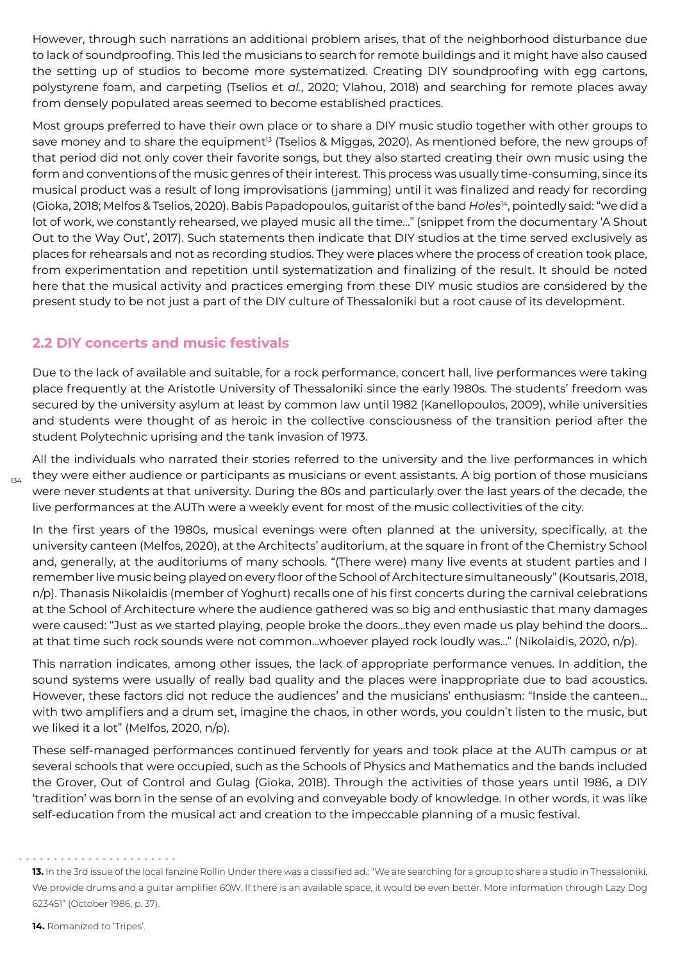However, through such narrations an additional problem arises, that of the neighborhood disturbance due to lack of soundproofing. This led the musicians to search for remote buildings and it might have also caused the setting up of studios to become more systematized. Creating DIY soundproofing with egg cartons, polystyrene foam, and carpeting (Tselios et *al.*, 2020; Vlahou, 2018) and searching for remote places away from densely populated areas seemed to become established practices.

Most groups preferred to have their own place or to share a DIY music studio together with other groups to save money and to share the equipment<sup>13</sup> (Tselios & Miggas, 2020). As mentioned before, the new groups of that period did not only cover their favorite songs, but they also started creating their own music using the form and conventions of the music genres of their interest. This process was usually time-consuming, since its musical product was a result of long improvisations (jamming) until it was finalized and ready for recording (Gioka, 2018; Melfos & Tselios, 2020). Babis Papadopoulos, guitarist of the band *Holes*14, pointedly said: "we did a lot of work, we constantly rehearsed, we played music all the time…" (snippet from the documentary 'A Shout Out to the Way Out', 2017). Such statements then indicate that DIY studios at the time served exclusively as places for rehearsals and not as recording studios. They were places where the process of creation took place, from experimentation and repetition until systematization and finalizing of the result. It should be noted here that the musical activity and practices emerging from these DIY music studios are considered by the present study to be not just a part of the DIY culture of Thessaloniki but a root cause of its development.

### **2.2 DIY concerts and music festivals**

Due to the lack of available and suitable, for a rock performance, concert hall, live performances were taking place frequently at the Aristotle University of Thessaloniki since the early 1980s. The students' freedom was secured by the university asylum at least by common law until 1982 (Kanellopoulos, 2009), while universities and students were thought of as heroic in the collective consciousness of the transition period after the student Polytechnic uprising and the tank invasion of 1973.

All the individuals who narrated their stories referred to the university and the live performances in which they were either audience or participants as musicians or event assistants. A big portion of those musicians were never students at that university. During the 80s and particularly over the last years of the decade, the live performances at the AUTh were a weekly event for most of the music collectivities of the city.

In the first years of the 1980s, musical evenings were often planned at the university, specifically, at the university canteen (Melfos, 2020), at the Architects' auditorium, at the square in front of the Chemistry School and, generally, at the auditoriums of many schools. "(There were) many live events at student parties and I remember live music being played on every floor of the School of Architecture simultaneously" (Koutsaris, 2018, n/p). Thanasis Nikolaidis (member of Yoghurt) recalls one of his first concerts during the carnival celebrations at the School of Architecture where the audience gathered was so big and enthusiastic that many damages were caused: "Just as we started playing, people broke the doors…they even made us play behind the doors... at that time such rock sounds were not common…whoever played rock loudly was…" (Nikolaidis, 2020, n/p).

This narration indicates, among other issues, the lack of appropriate performance venues. In addition, the sound systems were usually of really bad quality and the places were inappropriate due to bad acoustics. However, these factors did not reduce the audiences' and the musicians' enthusiasm: "Inside the canteen… with two amplifiers and a drum set, imagine the chaos, in other words, you couldn't listen to the music, but we liked it a lot" (Melfos, 2020, n/p).

These self-managed performances continued fervently for years and took place at the AUTh campus or at several schools that were occupied, such as the Schools of Physics and Mathematics and the bands included the Grover, Out of Control and Gulag (Gioka, 2018). Through the activities of those years until 1986, a DIY 'tradition' was born in the sense of an evolving and conveyable body of knowledge. In other words, it was like self-education from the musical act and creation to the impeccable planning of a music festival.

134

<sup>13.</sup> In the 3rd issue of the local fanzine Rollin Under there was a classified ad.: "We are searching for a group to share a studio in Thessaloniki. We provide drums and a guitar amplifier 60W. If there is an available space, it would be even better. More information through Lazy Dog 623451" (October 1986, p. 37).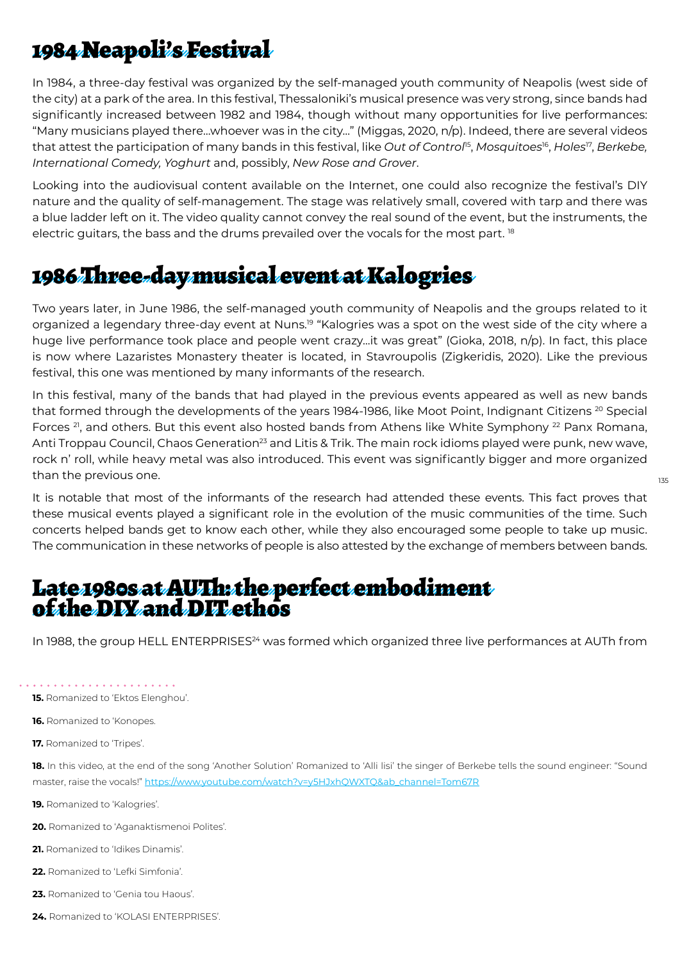# 1984 Neapoli's Festival

In 1984, a three-day festival was organized by the self-managed youth community of Neapolis (west side of the city) at a park of the area. In this festival, Thessaloniki's musical presence was very strong, since bands had significantly increased between 1982 and 1984, though without many opportunities for live performances: "Many musicians played there…whoever was in the city…" (Miggas, 2020, n/p). Indeed, there are several videos that attest the participation of many bands in this festival, like *Out of Control*15, *Mosquitoes*16, *Holes*17, *Berkebe, International Comedy, Yoghurt* and, possibly, *New Rose and Grover*.

Looking into the audiovisual content available on the Internet, one could also recognize the festival's DIY nature and the quality of self-management. The stage was relatively small, covered with tarp and there was a blue ladder left on it. The video quality cannot convey the real sound of the event, but the instruments, the electric quitars, the bass and the drums prevailed over the vocals for the most part. <sup>18</sup>

## 1986 Three-day musical event at Kalogries

Two years later, in June 1986, the self-managed youth community of Neapolis and the groups related to it organized a legendary three-day event at Nuns.<sup>19</sup> "Kalogries was a spot on the west side of the city where a huge live performance took place and people went crazy…it was great" (Gioka, 2018, n/p). In fact, this place is now where Lazaristes Monastery theater is located, in Stavroupolis (Zigkeridis, 2020). Like the previous festival, this one was mentioned by many informants of the research.

In this festival, many of the bands that had played in the previous events appeared as well as new bands that formed through the developments of the years 1984-1986, like Moot Point, Indignant Citizens <sup>20</sup> Special Forces  $21$ , and others. But this event also hosted bands from Athens like White Symphony  $22$  Panx Romana, Anti Troppau Council, Chaos Generation<sup>23</sup> and Litis & Trik. The main rock idioms played were punk, new wave, rock n' roll, while heavy metal was also introduced. This event was significantly bigger and more organized than the previous one.

It is notable that most of the informants of the research had attended these events. This fact proves that these musical events played a significant role in the evolution of the music communities of the time. Such concerts helped bands get to know each other, while they also encouraged some people to take up music. The communication in these networks of people is also attested by the exchange of members between bands.

135

### Late 1980s at AUTh: the perfect embodiment of the DIY and DIT ethos

In 1988, the group HELL ENTERPRISES<sup>24</sup> was formed which organized three live performances at AUTh from

**15.** Romanized to 'Ektos Elenghou'.

**16.** Romanized to 'Konopes.

**17.** Romanized to 'Tripes'.

**18.** In this video, at the end of the song 'Another Solution' Romanized to 'Alli lisi' the singer of Berkebe tells the sound engineer: "Sound master, raise the vocals!" https://www.youtube.com/watch?v=y5HJxhQWXTQ&ab\_channel=Tom67R

**19.** Romanized to 'Kalogries'.

**20.** Romanized to 'Aganaktismenoi Polites'.

21. Romanized to 'Idikes Dinamis'.

- **22.** Romanized to 'Lefki Simfonia'.
- **23.** Romanized to 'Genia tou Haous'.
- **24.** Romanized to 'KOLASI ENTERPRISES'.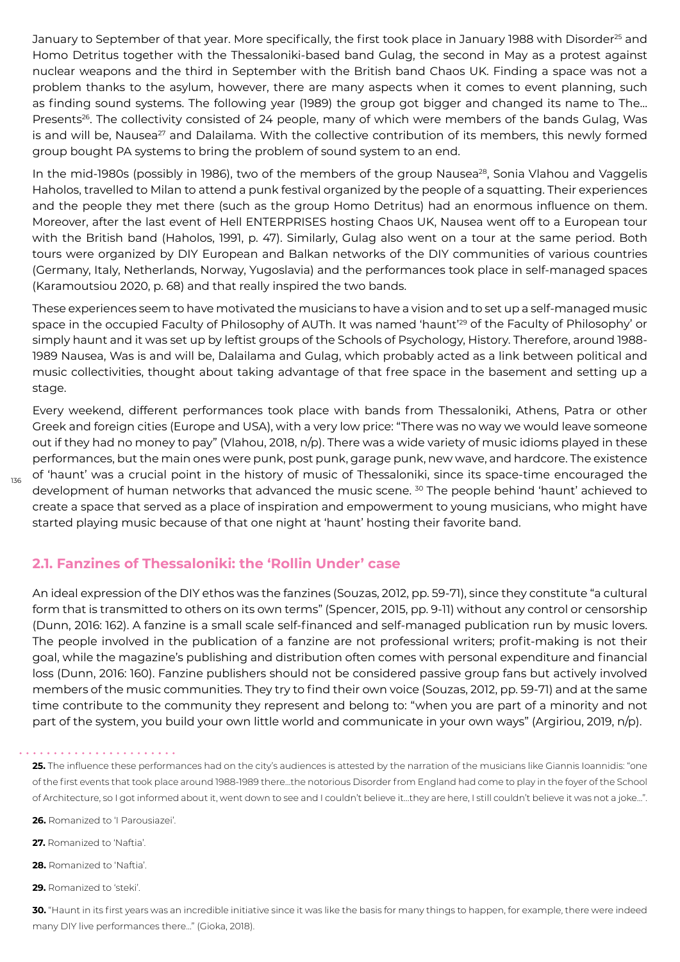January to September of that year. More specifically, the first took place in January 1988 with Disorder<sup>25</sup> and Homo Detritus together with the Thessaloniki-based band Gulag, the second in May as a protest against nuclear weapons and the third in September with the British band Chaos UK. Finding a space was not a problem thanks to the asylum, however, there are many aspects when it comes to event planning, such as finding sound systems. The following year (1989) the group got bigger and changed its name to The… Presents<sup>26</sup>. The collectivity consisted of 24 people, many of which were members of the bands Gulag, Was is and will be, Nausea<sup>27</sup> and Dalailama. With the collective contribution of its members, this newly formed group bought PA systems to bring the problem of sound system to an end.

In the mid-1980s (possibly in 1986), two of the members of the group Nausea<sup>28</sup>, Sonia Vlahou and Vaggelis Haholos, travelled to Milan to attend a punk festival organized by the people of a squatting. Their experiences and the people they met there (such as the group Homo Detritus) had an enormous influence on them. Moreover, after the last event of Hell ENTERPRISES hosting Chaos UK, Nausea went off to a European tour with the British band (Haholos, 1991, p. 47). Similarly, Gulag also went on a tour at the same period. Both tours were organized by DIY European and Balkan networks of the DIY communities of various countries (Germany, Italy, Netherlands, Norway, Yugoslavia) and the performances took place in self-managed spaces (Karamoutsiou 2020, p. 68) and that really inspired the two bands.

These experiences seem to have motivated the musicians to have a vision and to set up a self-managed music space in the occupied Faculty of Philosophy of AUTh. It was named 'haunt'<sup>29</sup> of the Faculty of Philosophy' or simply haunt and it was set up by leftist groups of the Schools of Psychology, History. Therefore, around 1988- 1989 Nausea, Was is and will be, Dalailama and Gulag, which probably acted as a link between political and music collectivities, thought about taking advantage of that free space in the basement and setting up a stage.

Every weekend, different performances took place with bands from Thessaloniki, Athens, Patra or other Greek and foreign cities (Europe and USA), with a very low price: "There was no way we would leave someone out if they had no money to pay" (Vlahou, 2018, n/p). There was a wide variety of music idioms played in these performances, but the main ones were punk, post punk, garage punk, new wave, and hardcore. The existence of 'haunt' was a crucial point in the history of music of Thessaloniki, since its space-time encouraged the development of human networks that advanced the music scene.<sup>30</sup> The people behind 'haunt' achieved to create a space that served as a place of inspiration and empowerment to young musicians, who might have started playing music because of that one night at 'haunt' hosting their favorite band.

### **2.1. Fanzines of Thessaloniki: the 'Rollin Under' case**

An ideal expression of the DIY ethos was the fanzines (Souzas, 2012, pp. 59-71), since they constitute "a cultural form that is transmitted to others on its own terms" (Spencer, 2015, pp. 9-11) without any control or censorship (Dunn, 2016: 162). A fanzine is a small scale self-financed and self-managed publication run by music lovers. The people involved in the publication of a fanzine are not professional writers; profit-making is not their goal, while the magazine's publishing and distribution often comes with personal expenditure and financial loss (Dunn, 2016: 160). Fanzine publishers should not be considered passive group fans but actively involved members of the music communities. They try to find their own voice (Souzas, 2012, pp. 59-71) and at the same time contribute to the community they represent and belong to: "when you are part of a minority and not part of the system, you build your own little world and communicate in your own ways" (Argiriou, 2019, n/p).

**26.** Romanized to 'I Parousiazei'.

**27.** Romanized to 'Naftia'.

**28.** Romanized to 'Naftia'.

**29.** Romanized to 'steki'.

**30.** "Haunt in its first years was an incredible initiative since it was like the basis for many things to happen, for example, there were indeed many DIY live performances there…" (Gioka, 2018).

**<sup>25.</sup>** The influence these performances had on the city's audiences is attested by the narration of the musicians like Giannis Ioannidis: "one of the first events that took place around 1988-1989 there…the notorious Disorder from England had come to play in the foyer of the School of Architecture, so I got informed about it, went down to see and I couldn't believe it…they are here, I still couldn't believe it was not a joke…".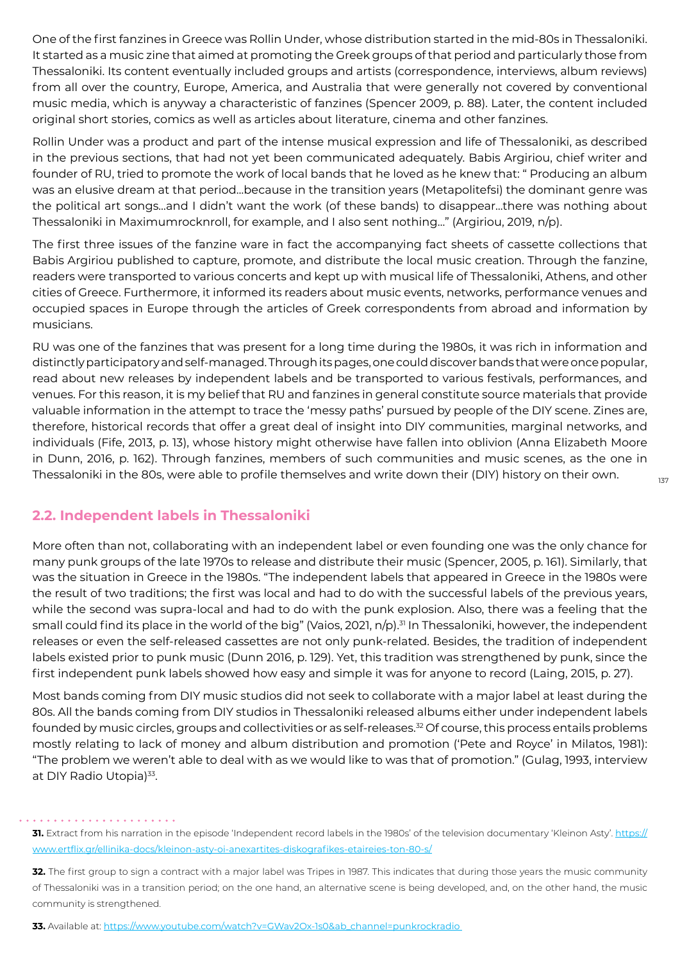One of the first fanzines in Greece was Rollin Under, whose distribution started in the mid-80s in Thessaloniki. It started as a music zine that aimed at promoting the Greek groups of that period and particularly those from Thessaloniki. Its content eventually included groups and artists (correspondence, interviews, album reviews) from all over the country, Europe, America, and Australia that were generally not covered by conventional music media, which is anyway a characteristic of fanzines (Spencer 2009, p. 88). Later, the content included original short stories, comics as well as articles about literature, cinema and other fanzines.

Rollin Under was a product and part of the intense musical expression and life of Thessaloniki, as described in the previous sections, that had not yet been communicated adequately. Babis Argiriou, chief writer and founder of RU, tried to promote the work of local bands that he loved as he knew that: " Producing an album was an elusive dream at that period…because in the transition years (Metapolitefsi) the dominant genre was the political art songs…and I didn't want the work (of these bands) to disappear…there was nothing about Thessaloniki in Maximumrocknroll, for example, and I also sent nothing…" (Argiriou, 2019, n/p).

The first three issues of the fanzine ware in fact the accompanying fact sheets of cassette collections that Babis Argiriou published to capture, promote, and distribute the local music creation. Through the fanzine, readers were transported to various concerts and kept up with musical life of Thessaloniki, Athens, and other cities of Greece. Furthermore, it informed its readers about music events, networks, performance venues and occupied spaces in Europe through the articles of Greek correspondents from abroad and information by musicians.

RU was one of the fanzines that was present for a long time during the 1980s, it was rich in information and distinctly participatory and self-managed. Through its pages, one could discover bands that were once popular, read about new releases by independent labels and be transported to various festivals, performances, and venues. For this reason, it is my belief that RU and fanzines in general constitute source materials that provide valuable information in the attempt to trace the 'messy paths' pursued by people of the DIY scene. Zines are, therefore, historical records that offer a great deal of insight into DIY communities, marginal networks, and individuals (Fife, 2013, p. 13), whose history might otherwise have fallen into oblivion (Anna Elizabeth Moore in Dunn, 2016, p. 162). Through fanzines, members of such communities and music scenes, as the one in Thessaloniki in the 80s, were able to profile themselves and write down their (DIY) history on their own.

### **2.2. Independent labels in Thessaloniki**

More often than not, collaborating with an independent label or even founding one was the only chance for many punk groups of the late 1970s to release and distribute their music (Spencer, 2005, p. 161). Similarly, that was the situation in Greece in the 1980s. "The independent labels that appeared in Greece in the 1980s were the result of two traditions; the first was local and had to do with the successful labels of the previous years, while the second was supra-local and had to do with the punk explosion. Also, there was a feeling that the small could find its place in the world of the big" (Vaios, 2021, n/p).<sup>31</sup> In Thessaloniki, however, the independent releases or even the self-released cassettes are not only punk-related. Besides, the tradition of independent labels existed prior to punk music (Dunn 2016, p. 129). Yet, this tradition was strengthened by punk, since the first independent punk labels showed how easy and simple it was for anyone to record (Laing, 2015, p. 27).

Most bands coming from DIY music studios did not seek to collaborate with a major label at least during the 80s. All the bands coming from DIY studios in Thessaloniki released albums either under independent labels founded by music circles, groups and collectivities or as self-releases.<sup>32</sup> Of course, this process entails problems mostly relating to lack of money and album distribution and promotion ('Pete and Royce' in Milatos, 1981): "The problem we weren't able to deal with as we would like to was that of promotion." (Gulag, 1993, interview at DIY Radio Utopia)<sup>33</sup>.

**<sup>31.</sup>** Extract from his narration in the episode 'Independent record labels in the 1980s' of the television documentary 'Kleinon Asty'. https:// www.ertflix.gr/ellinika-docs/kleinon-asty-oi-anexartites-diskografikes-etaireies-ton-80-s/

**<sup>32.</sup>** The first group to sign a contract with a major label was Tripes in 1987. This indicates that during those years the music community of Thessaloniki was in a transition period; on the one hand, an alternative scene is being developed, and, on the other hand, the music community is strengthened.

**<sup>33.</sup>** Available at: [https://www.youtube.com/watch?v=GWav2Ox-1s0&ab\\_channel=punkrockradio](https://www.youtube.com/watch?v=GWav2Ox-1s0&ab_channel=punkrockradio)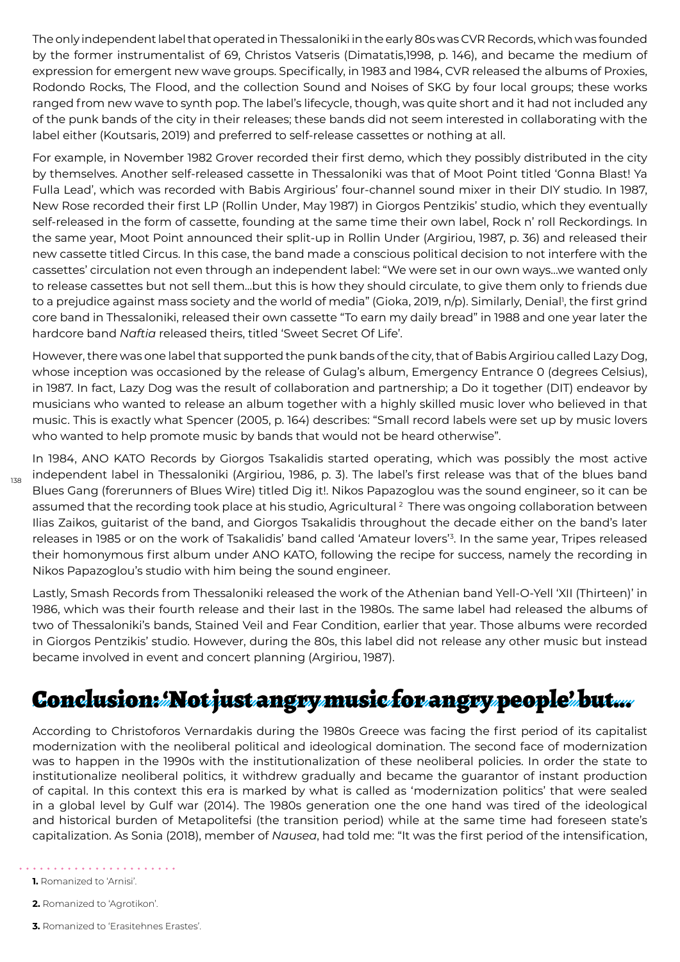The only independent label that operated in Thessaloniki in the early 80s was CVR Records, which was founded by the former instrumentalist of 69, Christos Vatseris (Dimatatis,1998, p. 146), and became the medium of expression for emergent new wave groups. Specifically, in 1983 and 1984, CVR released the albums of Proxies, Rodondo Rocks, The Flood, and the collection Sound and Noises of SKG by four local groups; these works ranged from new wave to synth pop. The label's lifecycle, though, was quite short and it had not included any of the punk bands of the city in their releases; these bands did not seem interested in collaborating with the label either (Koutsaris, 2019) and preferred to self-release cassettes or nothing at all.

For example, in November 1982 Grover recorded their first demo, which they possibly distributed in the city by themselves. Another self-released cassette in Thessaloniki was that of Moot Point titled 'Gonna Blast! Ya Fulla Lead', which was recorded with Babis Argirious' four-channel sound mixer in their DIY studio. In 1987, New Rose recorded their first LP (Rollin Under, May 1987) in Giorgos Pentzikis' studio, which they eventually self-released in the form of cassette, founding at the same time their own label, Rock n' roll Reckordings. In the same year, Moot Point announced their split-up in Rollin Under (Argiriou, 1987, p. 36) and released their new cassette titled Circus. In this case, the band made a conscious political decision to not interfere with the cassettes' circulation not even through an independent label: "We were set in our own ways…we wanted only to release cassettes but not sell them…but this is how they should circulate, to give them only to friends due to a prejudice against mass society and the world of media" (Gioka, 2019, n/p). Similarly, Denial<sup>1</sup>, the first grind core band in Thessaloniki, released their own cassette "To earn my daily bread" in 1988 and one year later the hardcore band *Naftia* released theirs, titled 'Sweet Secret Of Life'.

However, there was one label that supported the punk bands of the city, that of Babis Argiriou called Lazy Dog, whose inception was occasioned by the release of Gulag's album, Emergency Entrance 0 (degrees Celsius), in 1987. In fact, Lazy Dog was the result of collaboration and partnership; a Do it together (DIT) endeavor by musicians who wanted to release an album together with a highly skilled music lover who believed in that music. This is exactly what Spencer (2005, p. 164) describes: "Small record labels were set up by music lovers who wanted to help promote music by bands that would not be heard otherwise".

In 1984, ANO KATO Records by Giorgos Tsakalidis started operating, which was possibly the most active independent label in Thessaloniki (Argiriou, 1986, p. 3). The label's first release was that of the blues band Blues Gang (forerunners of Blues Wire) titled Dig it!. Nikos Papazoglou was the sound engineer, so it can be assumed that the recording took place at his studio, Agricultural <sup>2</sup> There was ongoing collaboration between Ilias Zaikos, guitarist of the band, and Giorgos Tsakalidis throughout the decade either on the band's later releases in 1985 or on the work of Tsakalidis' band called 'Amateur lovers'<sup>3</sup> . In the same year, Tripes released their homonymous first album under ANO KATO, following the recipe for success, namely the recording in Nikos Papazoglou's studio with him being the sound engineer.

Lastly, Smash Records from Thessaloniki released the work of the Athenian band Yell-O-Yell 'XII (Thirteen)' in 1986, which was their fourth release and their last in the 1980s. The same label had released the albums of two of Thessaloniki's bands, Stained Veil and Fear Condition, earlier that year. Those albums were recorded in Giorgos Pentzikis' studio. However, during the 80s, this label did not release any other music but instead became involved in event and concert planning (Argiriou, 1987).

# Conclusion: Not just angry music for angry people' but...

According to Christoforos Vernardakis during the 1980s Greece was facing the first period of its capitalist modernization with the neoliberal political and ideological domination. The second face of modernization was to happen in the 1990s with the institutionalization of these neoliberal policies. In order the state to institutionalize neoliberal politics, it withdrew gradually and became the guarantor of instant production of capital. In this context this era is marked by what is called as 'modernization politics' that were sealed in a global level by Gulf war (2014). The 1980s generation one the one hand was tired of the ideological and historical burden of Metapolitefsi (the transition period) while at the same time had foreseen state's capitalization. As Sonia (2018), member of *Nausea*, had told me: "It was the first period of the intensification,

- . . . . . . .
- **1.** Romanized to 'Arnisi'.

138

- **2.** Romanized to 'Agrotikon'.
- **3.** Romanized to 'Erasitehnes Erastes'.